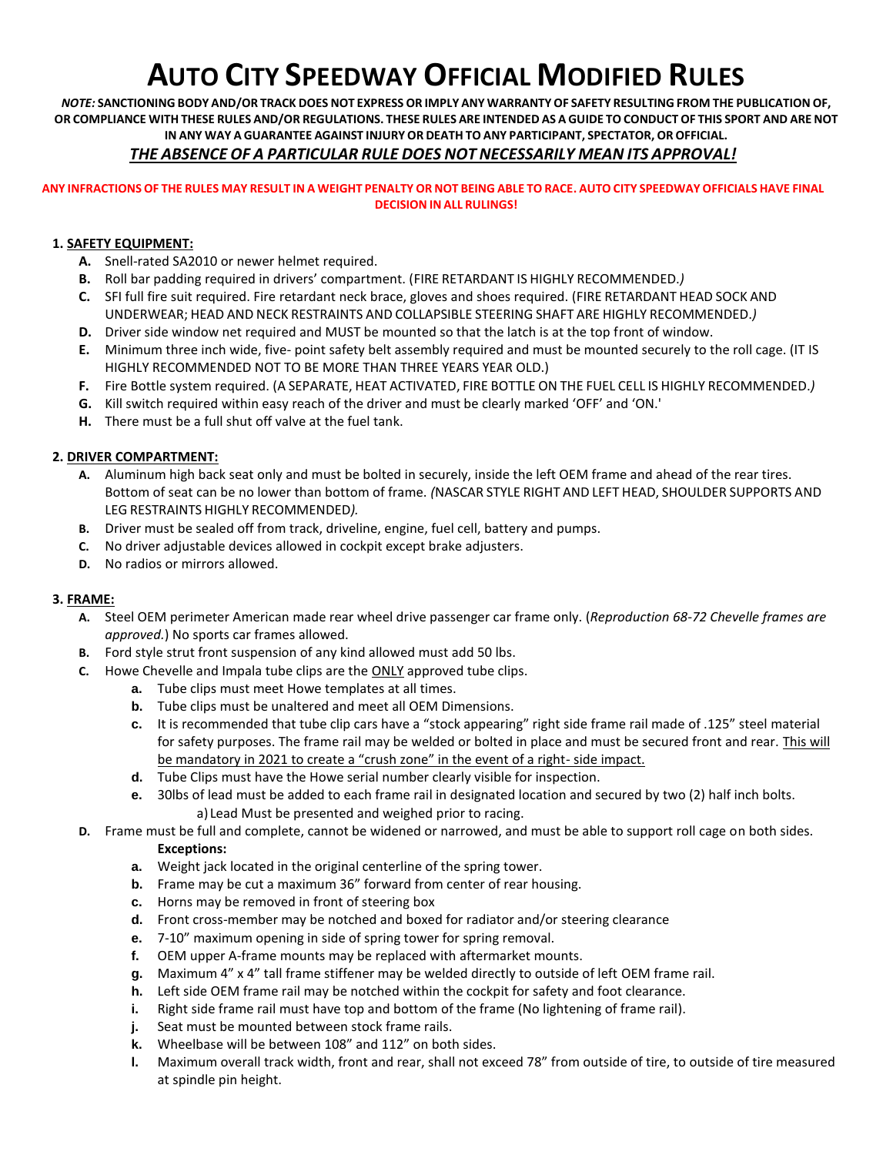# **AUTO CITY SPEEDWAY OFFICIAL MODIFIED RULES**

NOTE: SANCTIONING BODY AND/OR TRACK DOES NOT EXPRESS OR IMPLY ANY WARRANTY OF SAFETY RESULTING FROM THE PUBLICATION OF, OR COMPLIANCE WITH THESE RULES AND/OR REGULATIONS. THESE RULES ARE INTENDED AS A GUIDE TO CONDUCT OF THIS SPORT AND ARE NOT **IN ANY WAY A GUARANTEE AGAINST INJURY OR DEATH TO ANY PARTICIPANT, SPECTATOR, OR OFFICIAL.**

### *THE ABSENCE OF A PARTICULAR RULE DOES NOT NECESSARILY MEAN ITS APPROVAL!*

#### ANY INFRACTIONS OF THE RULES MAY RESULT IN A WEIGHT PENALTY OR NOT BEING ABLE TO RACE. AUTO CITY SPEEDWAY OFFICIALS HAVE FINAL **DECISION IN ALL RULINGS!**

#### **1. SAFETY EQUIPMENT:**

- **A.** Snell-rated SA2010 or newer helmet required.
- **B.** Roll bar padding required in drivers' compartment. (FIRE RETARDANT IS HIGHLY RECOMMENDED.*)*
- **C.** SFI full fire suit required. Fire retardant neck brace, gloves and shoes required. (FIRE RETARDANT HEAD SOCK AND UNDERWEAR; HEAD AND NECK RESTRAINTS AND COLLAPSIBLE STEERING SHAFT ARE HIGHLY RECOMMENDED.*)*
- **D.** Driver side window net required and MUST be mounted so that the latch is at the top front of window.
- **E.** Minimum three inch wide, five- point safety belt assembly required and must be mounted securely to the roll cage. (IT IS HIGHLY RECOMMENDED NOT TO BE MORE THAN THREE YEARS YEAR OLD.)
- **F.** Fire Bottle system required. (A SEPARATE, HEAT ACTIVATED, FIRE BOTTLE ON THE FUEL CELL IS HIGHLY RECOMMENDED.*)*
- **G.** Kill switch required within easy reach of the driver and must be clearly marked 'OFF' and 'ON.'
- **H.** There must be a full shut off valve at the fuel tank.

#### **2. DRIVER COMPARTMENT:**

- **A.** Aluminum high back seat only and must be bolted in securely, inside the left OEM frame and ahead of the rear tires. Bottom of seat can be no lower than bottom of frame. *(*NASCAR STYLE RIGHT AND LEFT HEAD, SHOULDER SUPPORTS AND LEG RESTRAINTS HIGHLY RECOMMENDED*).*
- **B.** Driver must be sealed off from track, driveline, engine, fuel cell, battery and pumps.
- **C.** No driver adjustable devices allowed in cockpit except brake adjusters.
- **D.** No radios or mirrors allowed.

#### **3. FRAME:**

- **A.** Steel OEM perimeter American made rear wheel drive passenger car frame only. (*Reproduction 68-72 Chevelle frames are approved.*) No sports car frames allowed.
- **B.** Ford style strut front suspension of any kind allowed must add 50 lbs.
- **C.** Howe Chevelle and Impala tube clips are the ONLY approved tube clips.
	- **a.** Tube clips must meet Howe templates at all times.
	- **b.** Tube clips must be unaltered and meet all OEM Dimensions.
	- **c.** It is recommended that tube clip cars have a "stock appearing" right side frame rail made of .125" steel material for safety purposes. The frame rail may be welded or bolted in place and must be secured front and rear. This will be mandatory in 2021 to create a "crush zone" in the event of a right- side impact.
	- **d.** Tube Clips must have the Howe serial number clearly visible for inspection.
	- **e.** 30lbs of lead must be added to each frame rail in designated location and secured by two (2) half inch bolts. a) Lead Must be presented and weighed prior to racing.
- **D.** Frame must be full and complete, cannot be widened or narrowed, and must be able to support roll cage on both sides. **Exceptions:** 
	- **a.** Weight jack located in the original centerline of the spring tower.
	- **b.** Frame may be cut a maximum 36" forward from center of rear housing.
	- **c.** Horns may be removed in front of steering box
	- **d.** Front cross-member may be notched and boxed for radiator and/or steering clearance
	- **e.** 7-10" maximum opening in side of spring tower for spring removal.
	- **f.** OEM upper A-frame mounts may be replaced with aftermarket mounts.
	- **g.** Maximum 4" x 4" tall frame stiffener may be welded directly to outside of left OEM frame rail.
	- **h.** Left side OEM frame rail may be notched within the cockpit for safety and foot clearance.
	- **i.** Right side frame rail must have top and bottom of the frame (No lightening of frame rail).
	- **j.** Seat must be mounted between stock frame rails.
	- **k.** Wheelbase will be between 108" and 112" on both sides.
	- **l.** Maximum overall track width, front and rear, shall not exceed 78" from outside of tire, to outside of tire measured at spindle pin height.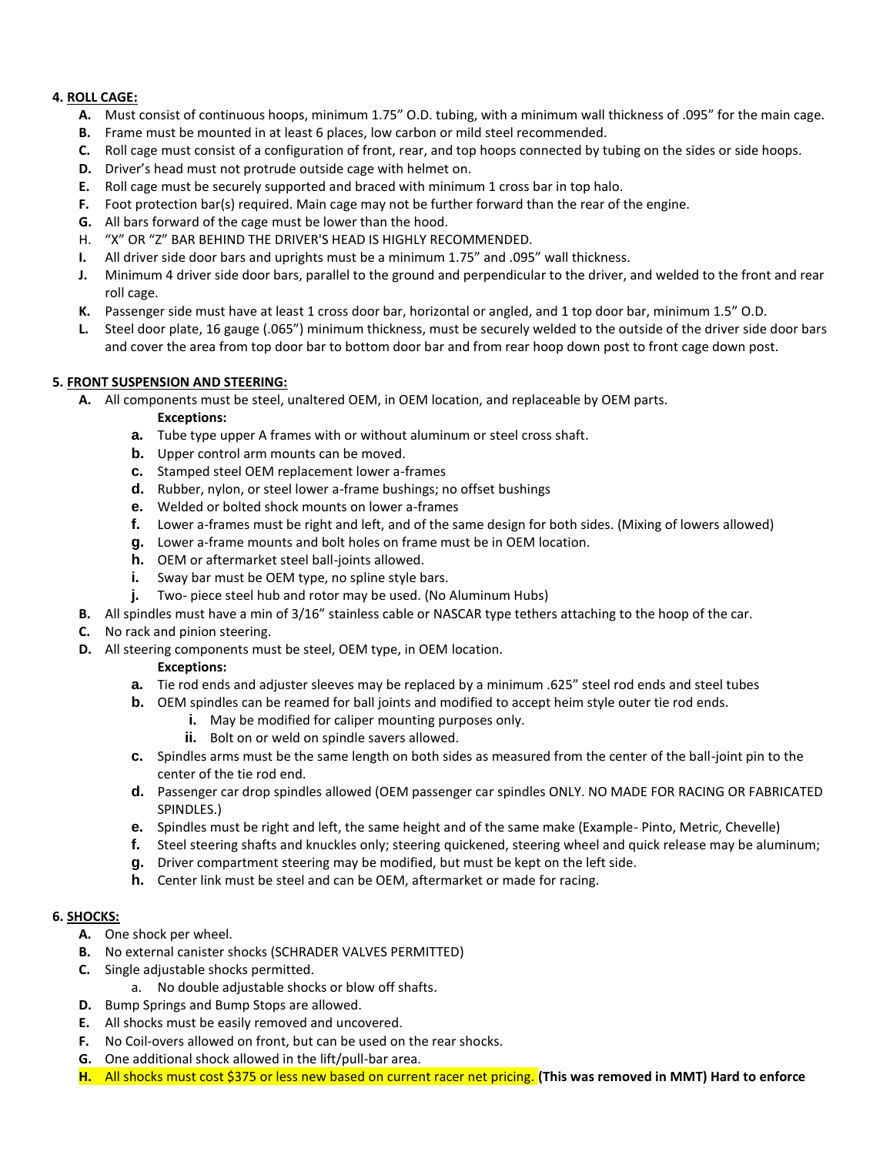#### **4. ROLL CAGE:**

- **A.** Must consist of continuous hoops, minimum 1.75" O.D. tubing, with a minimum wall thickness of .095" for the main cage.
- **B.** Frame must be mounted in at least 6 places, low carbon or mild steel recommended.
- **C.** Roll cage must consist of a configuration of front, rear, and top hoops connected by tubing on the sides or side hoops.
- **D.** Driver's head must not protrude outside cage with helmet on.
- **E.** Roll cage must be securely supported and braced with minimum 1 cross bar in top halo.
- **F.** Foot protection bar(s) required. Main cage may not be further forward than the rear of the engine.
- **G.** All bars forward of the cage must be lower than the hood.
- H. "X" OR "Z" BAR BEHIND THE DRIVER'S HEAD IS HIGHLY RECOMMENDED.
- **I.** All driver side door bars and uprights must be a minimum 1.75" and .095" wall thickness.
- **J.** Minimum 4 driver side door bars, parallel to the ground and perpendicular to the driver, and welded to the front and rear roll cage.
- **K.** Passenger side must have at least 1 cross door bar, horizontal or angled, and 1 top door bar, minimum 1.5" O.D.
- **L.** Steel door plate, 16 gauge (.065") minimum thickness, must be securely welded to the outside of the driver side door bars and cover the area from top door bar to bottom door bar and from rear hoop down post to front cage down post.

#### **5. FRONT SUSPENSION AND STEERING:**

**A.** All components must be steel, unaltered OEM, in OEM location, and replaceable by OEM parts.

- **Exceptions:**
- **a.** Tube type upper A frames with or without aluminum or steel cross shaft.
- **b.** Upper control arm mounts can be moved.
- **c.** Stamped steel OEM replacement lower a-frames
- **d.** Rubber, nylon, or steel lower a-frame bushings; no offset bushings
- **e.** Welded or bolted shock mounts on lower a-frames
- **f.** Lower a-frames must be right and left, and of the same design for both sides. (Mixing of lowers allowed)
- **g.** Lower a-frame mounts and bolt holes on frame must be in OEM location.
- **h.** OEM or aftermarket steel ball-joints allowed.
- **i.** Sway bar must be OEM type, no spline style bars.
- **j.** Two- piece steel hub and rotor may be used. (No Aluminum Hubs)
- **B.** All spindles must have a min of 3/16" stainless cable or NASCAR type tethers attaching to the hoop of the car.
- **C.** No rack and pinion steering.
- **D.** All steering components must be steel, OEM type, in OEM location.

#### **Exceptions:**

- **a.** Tie rod ends and adjuster sleeves may be replaced by a minimum .625" steel rod ends and steel tubes
- **b.** OEM spindles can be reamed for ball joints and modified to accept heim style outer tie rod ends.
	- **i.** May be modified for caliper mounting purposes only.
	- **ii.** Bolt on or weld on spindle savers allowed.
- **c.** Spindles arms must be the same length on both sides as measured from the center of the ball-joint pin to the center of the tie rod end.
- **d.** Passenger car drop spindles allowed (OEM passenger car spindles ONLY. NO MADE FOR RACING OR FABRICATED SPINDLES.)
- **e.** Spindles must be right and left, the same height and of the same make (Example- Pinto, Metric, Chevelle)
- **f.** Steel steering shafts and knuckles only; steering quickened, steering wheel and quick release may be aluminum;
- **g.** Driver compartment steering may be modified, but must be kept on the left side.
- **h.** Center link must be steel and can be OEM, aftermarket or made for racing.

#### **6. SHOCKS:**

- **A.** One shock per wheel.
- **B.** No external canister shocks (SCHRADER VALVES PERMITTED)
- **C.** Single adjustable shocks permitted.
	- a. No double adjustable shocks or blow off shafts.
- **D.** Bump Springs and Bump Stops are allowed.
- **E.** All shocks must be easily removed and uncovered.
- **F.** No Coil-overs allowed on front, but can be used on the rear shocks.
- **G.** One additional shock allowed in the lift/pull-bar area.
- **H.** All shocks must cost \$375 or less new based on current racer net pricing. **(This was removed in MMT) Hard to enforce**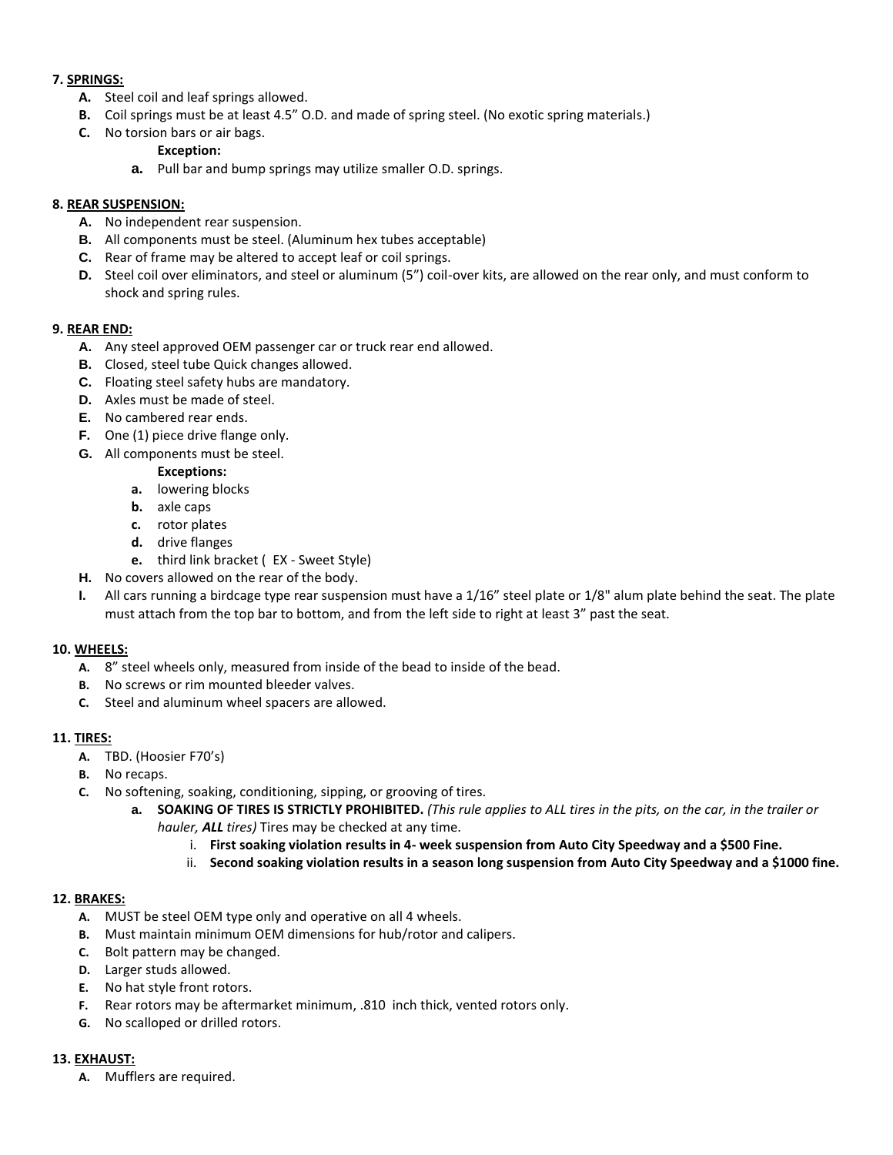#### **7. SPRINGS:**

- **A.** Steel coil and leaf springs allowed.
- **B.** Coil springs must be at least 4.5" O.D. and made of spring steel. (No exotic spring materials.)
- **C.** No torsion bars or air bags.

#### **Exception:**

**a.** Pull bar and bump springs may utilize smaller O.D. springs.

#### **8. REAR SUSPENSION:**

- **A.** No independent rear suspension.
- **B.** All components must be steel. (Aluminum hex tubes acceptable)
- **C.** Rear of frame may be altered to accept leaf or coil springs.
- **D.** Steel coil over eliminators, and steel or aluminum (5") coil-over kits, are allowed on the rear only, and must conform to shock and spring rules.

#### **9. REAR END:**

- **A.** Any steel approved OEM passenger car or truck rear end allowed.
- **B.** Closed, steel tube Quick changes allowed.
- **C.** Floating steel safety hubs are mandatory.
- **D.** Axles must be made of steel.
- **E.** No cambered rear ends.
- **F.** One (1) piece drive flange only.
- **G.** All components must be steel.

#### **Exceptions:**

- **a.** lowering blocks
- **b.** axle caps
- **c.** rotor plates
- **d.** drive flanges
- **e.** third link bracket ( EX Sweet Style)
- **H.** No covers allowed on the rear of the body.
- **I.** All cars running a birdcage type rear suspension must have a 1/16" steel plate or 1/8" alum plate behind the seat. The plate must attach from the top bar to bottom, and from the left side to right at least 3" past the seat.

#### **10. WHEELS:**

- **A.** 8" steel wheels only, measured from inside of the bead to inside of the bead.
- **B.** No screws or rim mounted bleeder valves.
- **C.** Steel and aluminum wheel spacers are allowed.

#### **11. TIRES:**

- **A.** TBD. (Hoosier F70's)
- **B.** No recaps.
- **C.** No softening, soaking, conditioning, sipping, or grooving of tires.
	- **a. SOAKING OF TIRES IS STRICTLY PROHIBITED.** *(This rule applies to ALL tires in the pits, on the car, in the trailer or hauler, ALL tires)* Tires may be checked at any time.
		- i. **First soaking violation results in 4- week suspension from Auto City Speedway and a \$500 Fine.**
		- ii. **Second soaking violation results in a season long suspension from Auto City Speedway and a \$1000 fine.**

#### **12. BRAKES:**

- **A.** MUST be steel OEM type only and operative on all 4 wheels.
- **B.** Must maintain minimum OEM dimensions for hub/rotor and calipers.
- **C.** Bolt pattern may be changed.
- **D.** Larger studs allowed.
- **E.** No hat style front rotors.
- **F.** Rear rotors may be aftermarket minimum, .810 inch thick, vented rotors only.
- **G.** No scalloped or drilled rotors.

#### **13. EXHAUST:**

**A.** Mufflers are required.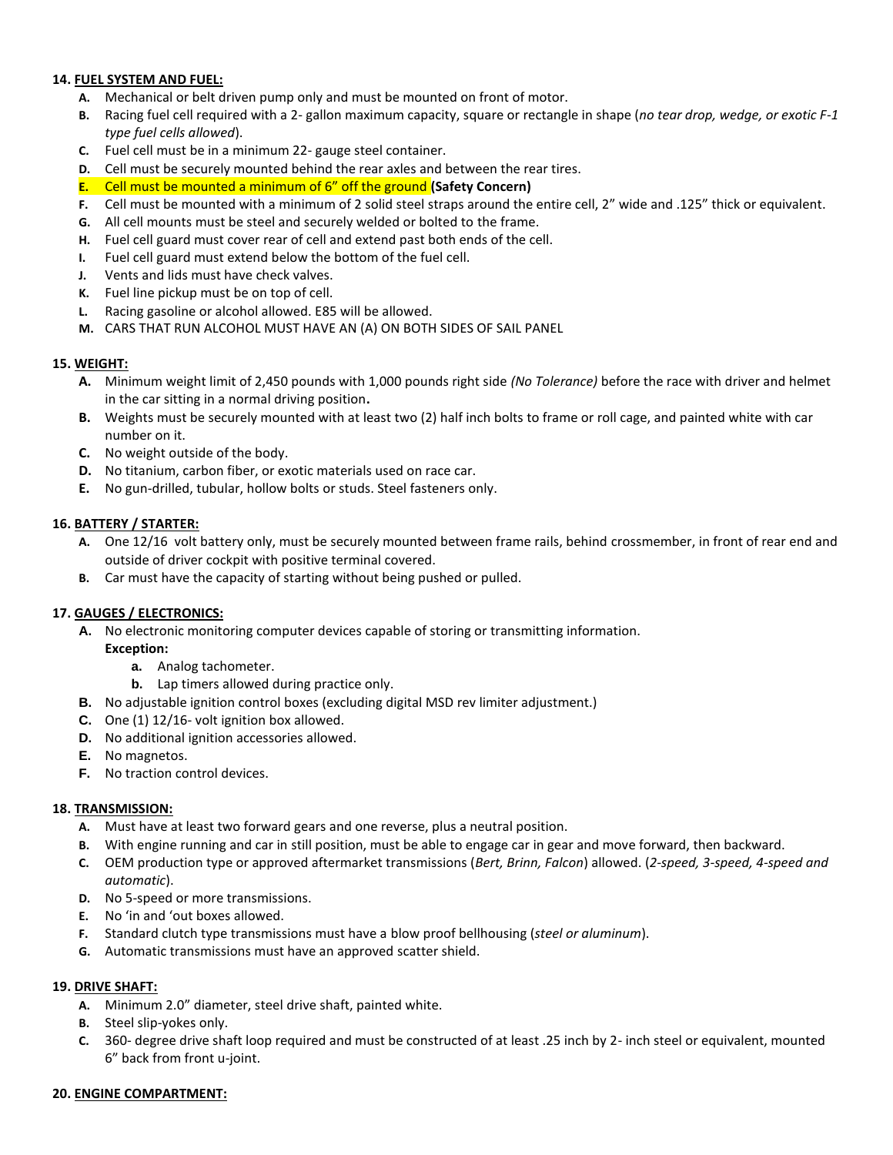#### **14. FUEL SYSTEM AND FUEL:**

- **A.** Mechanical or belt driven pump only and must be mounted on front of motor.
- **B.** Racing fuel cell required with a 2- gallon maximum capacity, square or rectangle in shape (*no tear drop, wedge, or exotic F-1 type fuel cells allowed*).
- **C.** Fuel cell must be in a minimum 22- gauge steel container.
- **D.** Cell must be securely mounted behind the rear axles and between the rear tires.
- **E.** Cell must be mounted a minimum of 6" off the ground **(Safety Concern)**
- **F.** Cell must be mounted with a minimum of 2 solid steel straps around the entire cell, 2" wide and .125" thick or equivalent.
- **G.** All cell mounts must be steel and securely welded or bolted to the frame.
- **H.** Fuel cell guard must cover rear of cell and extend past both ends of the cell.
- **I.** Fuel cell guard must extend below the bottom of the fuel cell.
- **J.** Vents and lids must have check valves.
- **K.** Fuel line pickup must be on top of cell.
- **L.** Racing gasoline or alcohol allowed. E85 will be allowed.
- **M.** CARS THAT RUN ALCOHOL MUST HAVE AN (A) ON BOTH SIDES OF SAIL PANEL

#### **15. WEIGHT:**

- **A.** Minimum weight limit of 2,450 pounds with 1,000 pounds right side *(No Tolerance)* before the race with driver and helmet in the car sitting in a normal driving position**.**
- **B.** Weights must be securely mounted with at least two (2) half inch bolts to frame or roll cage, and painted white with car number on it.
- **C.** No weight outside of the body.
- **D.** No titanium, carbon fiber, or exotic materials used on race car.
- **E.** No gun-drilled, tubular, hollow bolts or studs. Steel fasteners only.

#### **16. BATTERY / STARTER:**

- **A.** One 12/16 volt battery only, must be securely mounted between frame rails, behind crossmember, in front of rear end and outside of driver cockpit with positive terminal covered.
- **B.** Car must have the capacity of starting without being pushed or pulled.

#### **17. GAUGES / ELECTRONICS:**

**A.** No electronic monitoring computer devices capable of storing or transmitting information.

#### **Exception:**

- **a.** Analog tachometer.
- **b.** Lap timers allowed during practice only.
- **B.** No adjustable ignition control boxes (excluding digital MSD rev limiter adjustment.)
- **C.** One (1) 12/16- volt ignition box allowed.
- **D.** No additional ignition accessories allowed.
- **E.** No magnetos.
- **F.** No traction control devices.

#### **18. TRANSMISSION:**

- **A.** Must have at least two forward gears and one reverse, plus a neutral position.
- **B.** With engine running and car in still position, must be able to engage car in gear and move forward, then backward.
- **C.** OEM production type or approved aftermarket transmissions (*Bert, Brinn, Falcon*) allowed. (*2-speed, 3-speed, 4-speed and automatic*).
- **D.** No 5-speed or more transmissions.
- **E.** No 'in and 'out boxes allowed.
- **F.** Standard clutch type transmissions must have a blow proof bellhousing (*steel or aluminum*).
- **G.** Automatic transmissions must have an approved scatter shield.

#### **19. DRIVE SHAFT:**

- **A.** Minimum 2.0" diameter, steel drive shaft, painted white.
- **B.** Steel slip-yokes only.
- **C.** 360- degree drive shaft loop required and must be constructed of at least .25 inch by 2- inch steel or equivalent, mounted 6" back from front u-joint.

#### **20. ENGINE COMPARTMENT:**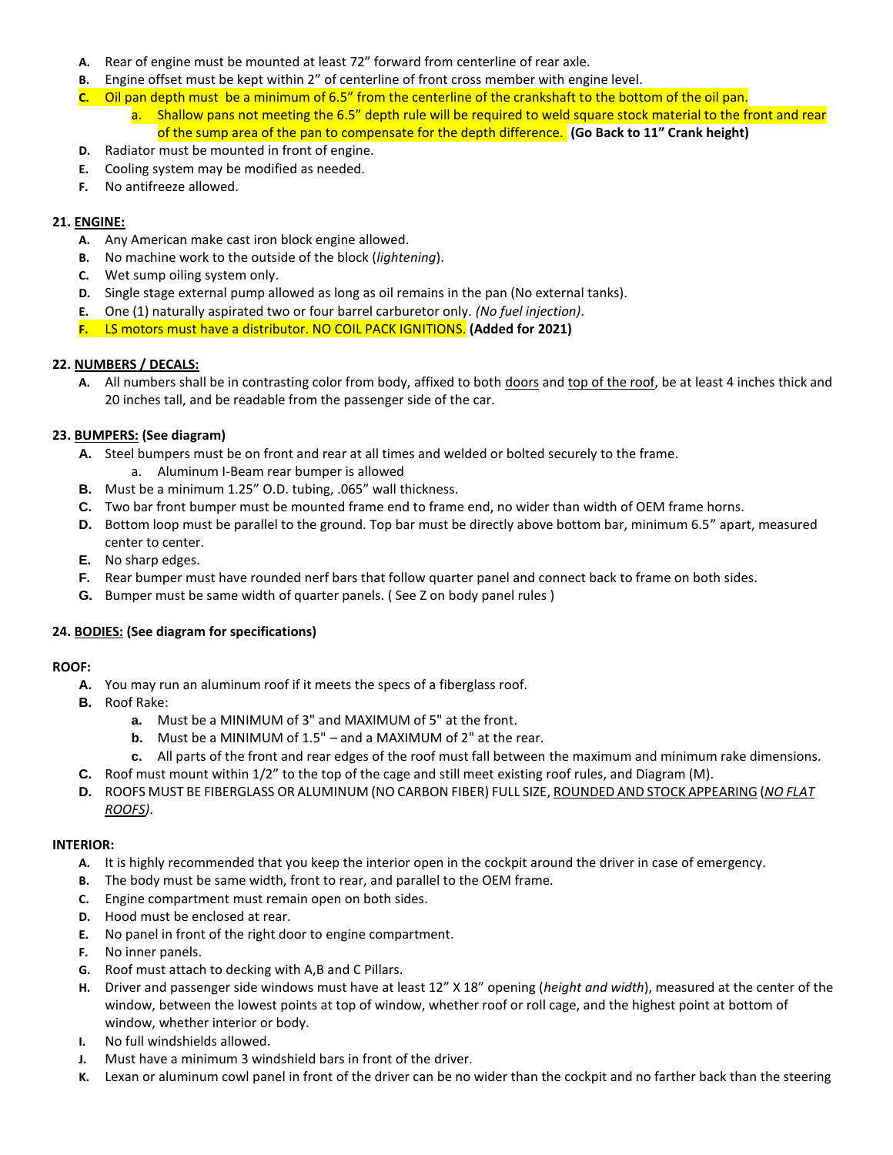- **A.** Rear of engine must be mounted at least 72" forward from centerline of rear axle.
- **B.** Engine offset must be kept within 2" of centerline of front cross member with engine level.
- **C.** Oil pan depth must be a minimum of 6.5" from the centerline of the crankshaft to the bottom of the oil pan.
	- a. Shallow pans not meeting the 6.5" depth rule will be required to weld square stock material to the front and rear of the sump area of the pan to compensate for the depth difference. **(Go Back to 11" Crank height)**
- **D.** Radiator must be mounted in front of engine. **E.** Cooling system may be modified as needed.
- **F.** No antifreeze allowed.

#### **21. ENGINE:**

- **A.** Any American make cast iron block engine allowed.
- **B.** No machine work to the outside of the block (*lightening*).
- **C.** Wet sump oiling system only.
- **D.** Single stage external pump allowed as long as oil remains in the pan (No external tanks).
- **E.** One (1) naturally aspirated two or four barrel carburetor only. *(No fuel injection)*.
- **F.** LS motors must have a distributor. NO COIL PACK IGNITIONS. **(Added for 2021)**

#### **22. NUMBERS / DECALS:**

A. All numbers shall be in contrasting color from body, affixed to both doors and top of the roof, be at least 4 inches thick and 20 inches tall, and be readable from the passenger side of the car.

#### **23. BUMPERS: (See diagram)**

- **A.** Steel bumpers must be on front and rear at all times and welded or bolted securely to the frame.
	- a. Aluminum I-Beam rear bumper is allowed
- **B.** Must be a minimum 1.25" O.D. tubing, .065" wall thickness.
- **C.** Two bar front bumper must be mounted frame end to frame end, no wider than width of OEM frame horns.
- **D.** Bottom loop must be parallel to the ground. Top bar must be directly above bottom bar, minimum 6.5" apart, measured center to center.
- **E.** No sharp edges.
- **F.** Rear bumper must have rounded nerf bars that follow quarter panel and connect back to frame on both sides.
- **G.** Bumper must be same width of quarter panels. ( See Z on body panel rules )

#### **24. BODIES: (See diagram for specifications)**

#### **ROOF:**

- **A.** You may run an aluminum roof if it meets the specs of a fiberglass roof.
- **B.** Roof Rake:
	- **a.** Must be a MINIMUM of 3" and MAXIMUM of 5" at the front.
	- **b.** Must be a MINIMUM of 1.5" and a MAXIMUM of 2" at the rear.
	- **c.** All parts of the front and rear edges of the roof must fall between the maximum and minimum rake dimensions.
- **C.** Roof must mount within 1/2" to the top of the cage and still meet existing roof rules, and Diagram (M).
- **D.** ROOFS MUST BE FIBERGLASS OR ALUMINUM (NO CARBON FIBER) FULL SIZE, ROUNDED AND STOCK APPEARING (*NO FLAT ROOFS)*.

#### **INTERIOR:**

- **A.** It is highly recommended that you keep the interior open in the cockpit around the driver in case of emergency.
- **B.** The body must be same width, front to rear, and parallel to the OEM frame.
- **C.** Engine compartment must remain open on both sides.
- **D.** Hood must be enclosed at rear.
- **E.** No panel in front of the right door to engine compartment.
- **F.** No inner panels.
- **G.** Roof must attach to decking with A,B and C Pillars.
- **H.** Driver and passenger side windows must have at least 12" X 18" opening (*height and width*), measured at the center of the window, between the lowest points at top of window, whether roof or roll cage, and the highest point at bottom of window, whether interior or body.
- **I.** No full windshields allowed.
- **J.** Must have a minimum 3 windshield bars in front of the driver.
- **K.** Lexan or aluminum cowl panel in front of the driver can be no wider than the cockpit and no farther back than the steering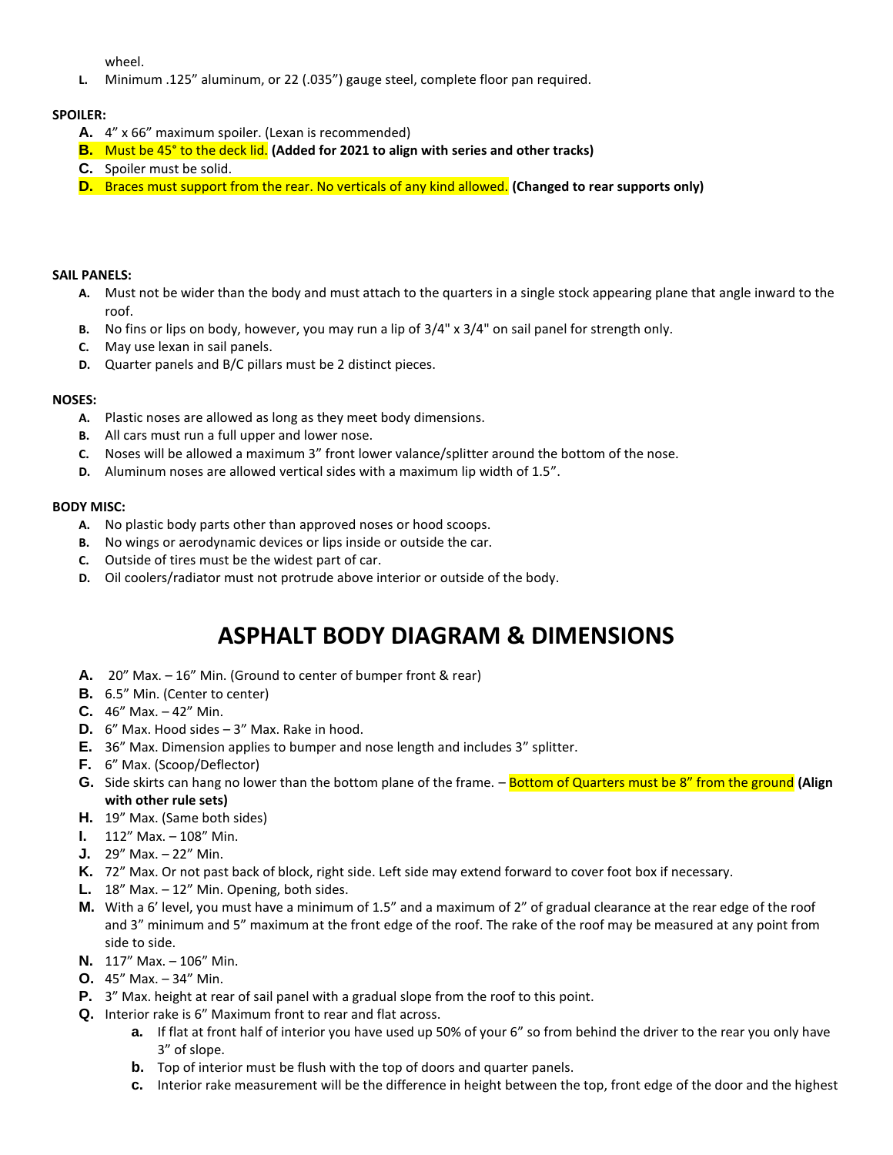wheel.

**L.** Minimum .125" aluminum, or 22 (.035") gauge steel, complete floor pan required.

#### **SPOILER:**

- **A.** 4" x 66" maximum spoiler. (Lexan is recommended)
- **B.** Must be 45° to the deck lid. **(Added for 2021 to align with series and other tracks)**
- **C.** Spoiler must be solid.
- **D.** Braces must support from the rear. No verticals of any kind allowed. **(Changed to rear supports only)**

#### **SAIL PANELS:**

- **A.** Must not be wider than the body and must attach to the quarters in a single stock appearing plane that angle inward to the roof.
- **B.** No fins or lips on body, however, you may run a lip of 3/4" x 3/4" on sail panel for strength only.
- **C.** May use lexan in sail panels.
- **D.** Quarter panels and B/C pillars must be 2 distinct pieces.

#### **NOSES:**

- **A.** Plastic noses are allowed as long as they meet body dimensions.
- **B.** All cars must run a full upper and lower nose.
- **C.** Noses will be allowed a maximum 3" front lower valance/splitter around the bottom of the nose.
- **D.** Aluminum noses are allowed vertical sides with a maximum lip width of 1.5".

#### **BODY MISC:**

- **A.** No plastic body parts other than approved noses or hood scoops.
- **B.** No wings or aerodynamic devices or lips inside or outside the car.
- **C.** Outside of tires must be the widest part of car.
- **D.** Oil coolers/radiator must not protrude above interior or outside of the body.

## **ASPHALT BODY DIAGRAM & DIMENSIONS**

- **A.** 20" Max. 16" Min. (Ground to center of bumper front & rear)
- **B.** 6.5" Min. (Center to center)
- **C.** 46" Max. 42" Min.
- **D.** 6" Max. Hood sides 3" Max. Rake in hood.
- **E.** 36" Max. Dimension applies to bumper and nose length and includes 3" splitter.
- **F.** 6" Max. (Scoop/Deflector)
- **G.** Side skirts can hang no lower than the bottom plane of the frame. Bottom of Quarters must be 8" from the ground **(Align with other rule sets)**
- **H.** 19" Max. (Same both sides)
- **I.** 112" Max. 108" Min.
- **J.** 29" Max. 22" Min.
- **K.** 72" Max. Or not past back of block, right side. Left side may extend forward to cover foot box if necessary.
- **L.** 18" Max. 12" Min. Opening, both sides.
- **M.** With a 6' level, you must have a minimum of 1.5" and a maximum of 2" of gradual clearance at the rear edge of the roof and 3" minimum and 5" maximum at the front edge of the roof. The rake of the roof may be measured at any point from side to side.
- **N.** 117" Max. 106" Min.
- **O.** 45" Max. 34" Min.
- **P.** 3" Max. height at rear of sail panel with a gradual slope from the roof to this point.
- **Q.** Interior rake is 6" Maximum front to rear and flat across.
	- **a.** If flat at front half of interior you have used up 50% of your 6" so from behind the driver to the rear you only have 3" of slope.
	- **b.** Top of interior must be flush with the top of doors and quarter panels.
	- **c.** Interior rake measurement will be the difference in height between the top, front edge of the door and the highest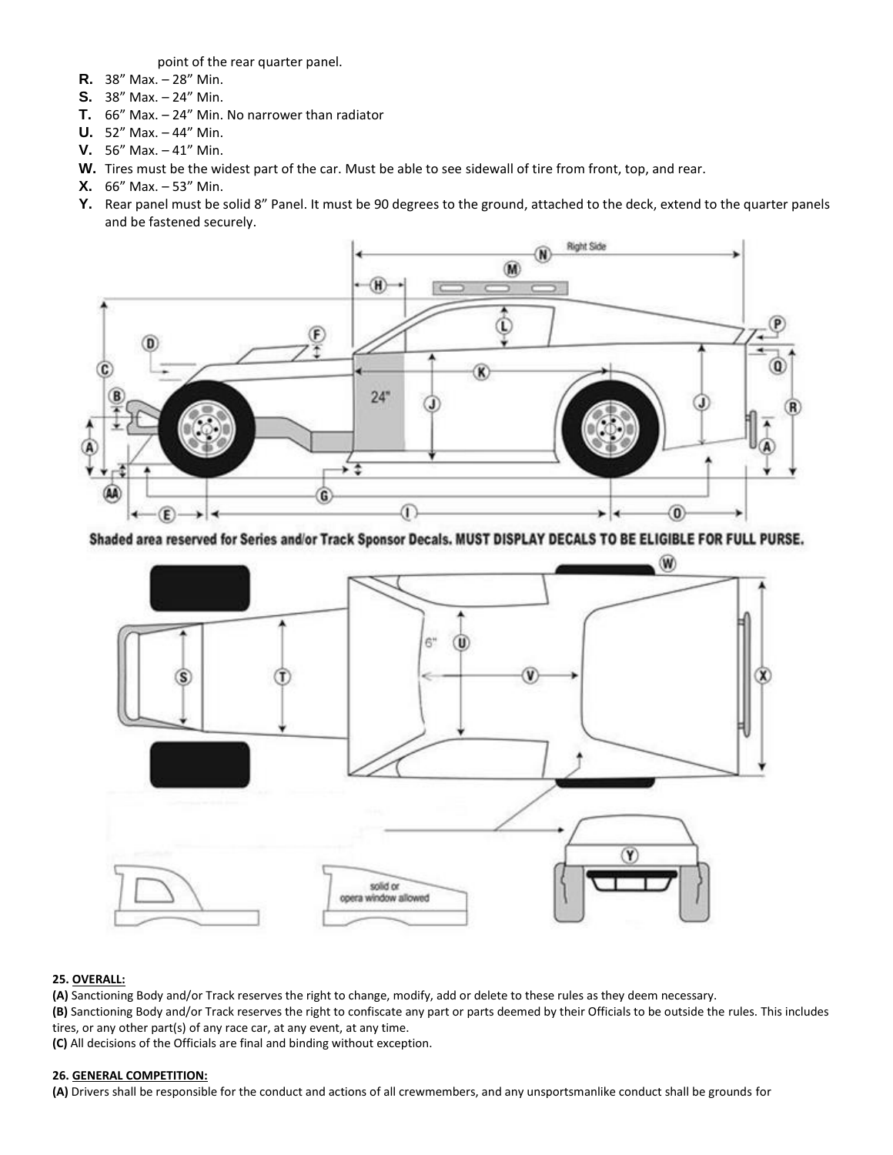point of the rear quarter panel.

- **R.** 38" Max. 28" Min.
- **S.** 38" Max. 24" Min.
- **T.** 66" Max. 24" Min. No narrower than radiator
- **U.** 52" Max. 44" Min.
- **V.** 56" Max. 41" Min.
- **W.** Tires must be the widest part of the car. Must be able to see sidewall of tire from front, top, and rear.
- **X.** 66" Max. 53" Min.
- **Y.** Rear panel must be solid 8" Panel. It must be 90 degrees to the ground, attached to the deck, extend to the quarter panels and be fastened securely.



Shaded area reserved for Series and/or Track Sponsor Decals. MUST DISPLAY DECALS TO BE ELIGIBLE FOR FULL PURSE.



#### **25. OVERALL:**

**(A)** Sanctioning Body and/or Track reserves the right to change, modify, add or delete to these rules as they deem necessary. **(B)** Sanctioning Body and/or Track reserves the right to confiscate any part or parts deemed by their Officials to be outside the rules. This includes tires, or any other part(s) of any race car, at any event, at any time.

**(C)** All decisions of the Officials are final and binding without exception.

#### **26. GENERAL COMPETITION:**

**(A)** Drivers shall be responsible for the conduct and actions of all crewmembers, and any unsportsmanlike conduct shall be grounds for